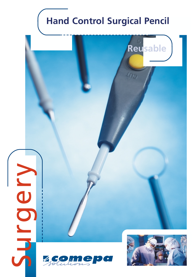# **Hand Control Surgical Pencil**

**Reusable**

 $4n<sub>2</sub>$ 



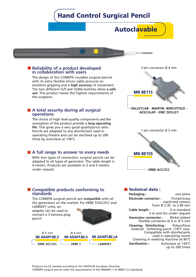# **Hand Control Surgical Pencil**

**Autoclavable**



#### ■ **Reliability of a product developed** 3 pin connector Ø 4 mm **in collaboration with users**

The design of the COMEPA reusable surgical pencils with its extra flexible silicon cable procures an excellent gripping and a **high accuracy** of movement. The two different CUT and COAG switches allow **a safe use**. This product meets the highest requirements of the surgeons.

#### **A total security during all surgical operations**

The choice of high level quality components and the conception of the product provide a **long operating life**. This gives you a very good quality/price ratio. Pencils are adapted to any disinfectant used in operating theatre and can be sterilised up to 200 times by autoclave at 134°C.

#### **A full range to answer to every needs**

With two types of connection, surgical pencils can be adapted to all types of generator. The cable length is 4 meters. Products are available in 3 and 5 meters under request.



**ERBE ACC/ICC**

#### **Compatible products conforming to standards**

The COMEPA surgical pencils are **compatible** with all the generators on the market. For ERBE T/ACC/ICC and LAMIDEY units, an

adapter can be used to connect a 3 banana plug pencil.



| $\Omega$ 5 mm        | $\varnothing$ 4 mm   |                       |
|----------------------|----------------------|-----------------------|
| <b>MI ADAPT.BE.5</b> | <b>MI ADAPT BE.4</b> | <b>MI ADAPT.BE.LA</b> |
| <b>ERBE ACC/ICC</b>  | <b>FRRF T</b>        | – Ι ΔΜΙΝΕΥ            |

#### **Technical data :**

**Packaging :** one piece **Electrode connector :** Tinned brass machined contact from Ø 2.35 to 2.40 mm **Cable length :** 4 m standard 3 m and 5m under request **Generator connector :** Nickel plated flexible connector Ø 4 or Ø 5 mm **Cleaning - Disinfecting :** Polysulfone material - Softening point: 174°C max. Compatible with disinfectants used in operating rooms Cleaning in washing machine at 90°C **Sterilisation :** Autoclave at 134°C up to 200 times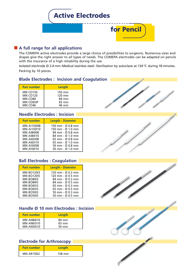

## **A full range for all applications**

The COMEPA active electrodes provide a large choice of possibilities to surgeons. Numerous sizes and shapes give the right answer to all types of needs. The COMEPA electrodes can be adapted on pencils with the insurance of a high reliability during the use.

Isolated electrode Ø 2.4 mm-Medical stainless steel- Sterilisation by autoclave at 134 °C during 18 minutes. Packing by 10 pieces.

#### **Blade Electrodes : Incision and Coagulation**

| <b>Part number</b> | Length |
|--------------------|--------|
| <b>MN CO150</b>    | 150 mm |
| <b>MN CO120</b>    | 120 mm |
| MN CO84            | 84 mm  |
| MN CO65IP          | 65 mm  |
| <b>MN CO46</b>     | 46 mm  |

## **Needle Electrodes : Incision**

| <b>Part number</b> | <b>Length - Diameter</b>          |
|--------------------|-----------------------------------|
| <b>MN AI150I08</b> | 150 mm - Ø 0.8 mm                 |
| <b>MN AI150I10</b> | 150 mm - Ø 1.0 mm                 |
| <b>MN AI84I08</b>  | 84 mm - Ø 0.8 mm                  |
| <b>MN AI84I10</b>  | $84 \text{ mm} - 0.10 \text{ mm}$ |
| <b>MN AI65I08</b>  | 65 mm - Ø 0.8 mm                  |
| <b>MN AI65I10</b>  | 65 mm - Ø 1.0 mm                  |
| <b>MN AI50I08</b>  | 50 mm - Ø 0.8 mm                  |
| <b>MN AI50110</b>  | 50 mm $-$ Ø 1.0 mm                |

# **Ball Electrodes : Coagulation**

| <b>Part number</b> | <b>Length - Diameter</b>          |
|--------------------|-----------------------------------|
| <b>MN BO12013</b>  | 120 mm - $\varnothing$ 0.3 mm     |
| <b>MN BO12015</b>  | 120 mm - $\varnothing$ 0.5 mm     |
| <b>MN BO84I3</b>   | 84 mm - Ø 0.3 mm                  |
| <b>MN BO8415</b>   | $84 \text{ mm} - 0.05 \text{ mm}$ |
| <b>MN BO6513</b>   | 65 mm - Ø 0.3 mm                  |
| <b>MN BO6515</b>   | 65 mm - $\varnothing$ 0.5 mm      |
| <b>MN BO5013</b>   | 50 mm - $\varnothing$ 0.3 mm      |
| <b>MN BO5015</b>   | 50 mm - Ø 0.5 mm                  |

## **Handle Ø 10 mm Electrodes : Incision**

| <b>Part number</b> | Length |
|--------------------|--------|
| <b>MN AN84I10</b>  | 84 mm  |
| <b>MN AN65110</b>  | 65 mm  |
| <b>MN AN50110</b>  | 50 mm  |

# **Electrode for Arthroscopy**

| <b>Part number</b> | Length |
|--------------------|--------|
| <b>MN AR150I2</b>  | 158 mm |